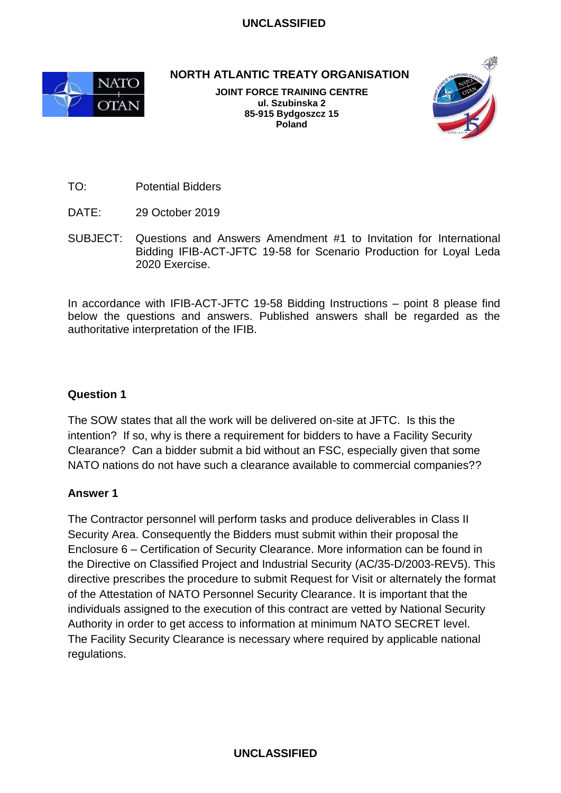### **UNCLASSIFIED**



**NORTH ATLANTIC TREATY ORGANISATION**

**JOINT FORCE TRAINING CENTRE ul. Szubinska 2 85-915 Bydgoszcz 15 Poland**



TO: Potential Bidders

- DATE: 29 October 2019
- SUBJECT: Questions and Answers Amendment #1 to Invitation for International Bidding IFIB-ACT-JFTC 19-58 for Scenario Production for Loyal Leda 2020 Exercise.

In accordance with IFIB-ACT-JFTC 19-58 Bidding Instructions – point 8 please find below the questions and answers. Published answers shall be regarded as the authoritative interpretation of the IFIB.

### **Question 1**

The SOW states that all the work will be delivered on-site at JFTC. Is this the intention? If so, why is there a requirement for bidders to have a Facility Security Clearance? Can a bidder submit a bid without an FSC, especially given that some NATO nations do not have such a clearance available to commercial companies??

#### **Answer 1**

The Contractor personnel will perform tasks and produce deliverables in Class II Security Area. Consequently the Bidders must submit within their proposal the Enclosure 6 – Certification of Security Clearance. More information can be found in the Directive on Classified Project and Industrial Security (AC/35-D/2003-REV5). This directive prescribes the procedure to submit Request for Visit or alternately the format of the Attestation of NATO Personnel Security Clearance. It is important that the individuals assigned to the execution of this contract are vetted by National Security Authority in order to get access to information at minimum NATO SECRET level. The Facility Security Clearance is necessary where required by applicable national regulations.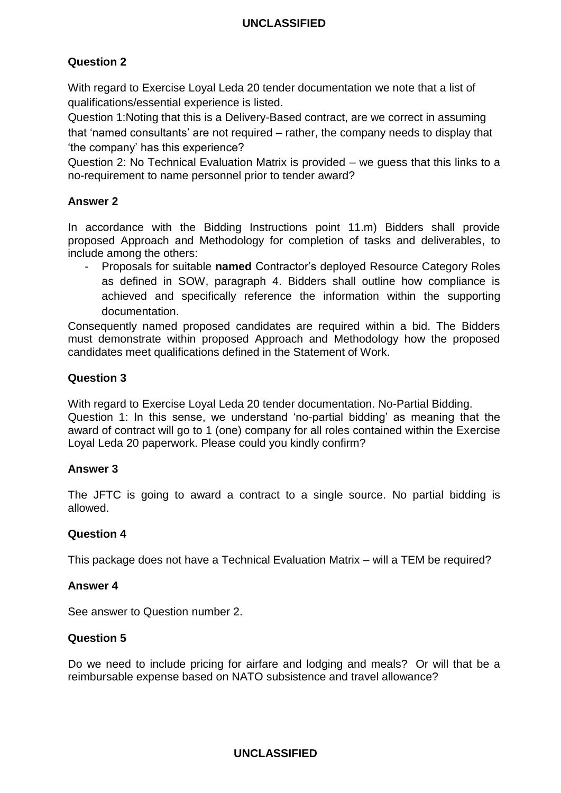# **UNCLASSIFIED**

# **Question 2**

With regard to Exercise Loyal Leda 20 tender documentation we note that a list of qualifications/essential experience is listed.

Question 1:Noting that this is a Delivery-Based contract, are we correct in assuming that 'named consultants' are not required – rather, the company needs to display that 'the company' has this experience?

Question 2: No Technical Evaluation Matrix is provided – we guess that this links to a no-requirement to name personnel prior to tender award?

### **Answer 2**

In accordance with the Bidding Instructions point 11.m) Bidders shall provide proposed Approach and Methodology for completion of tasks and deliverables, to include among the others:

- Proposals for suitable **named** Contractor's deployed Resource Category Roles as defined in SOW, paragraph 4. Bidders shall outline how compliance is achieved and specifically reference the information within the supporting documentation.

Consequently named proposed candidates are required within a bid. The Bidders must demonstrate within proposed Approach and Methodology how the proposed candidates meet qualifications defined in the Statement of Work.

# **Question 3**

With regard to Exercise Loyal Leda 20 tender documentation. No-Partial Bidding. Question 1: In this sense, we understand 'no-partial bidding' as meaning that the award of contract will go to 1 (one) company for all roles contained within the Exercise Loyal Leda 20 paperwork. Please could you kindly confirm?

# **Answer 3**

The JFTC is going to award a contract to a single source. No partial bidding is allowed.

#### **Question 4**

This package does not have a Technical Evaluation Matrix – will a TEM be required?

# **Answer 4**

See answer to Question number 2.

#### **Question 5**

Do we need to include pricing for airfare and lodging and meals? Or will that be a reimbursable expense based on NATO subsistence and travel allowance?